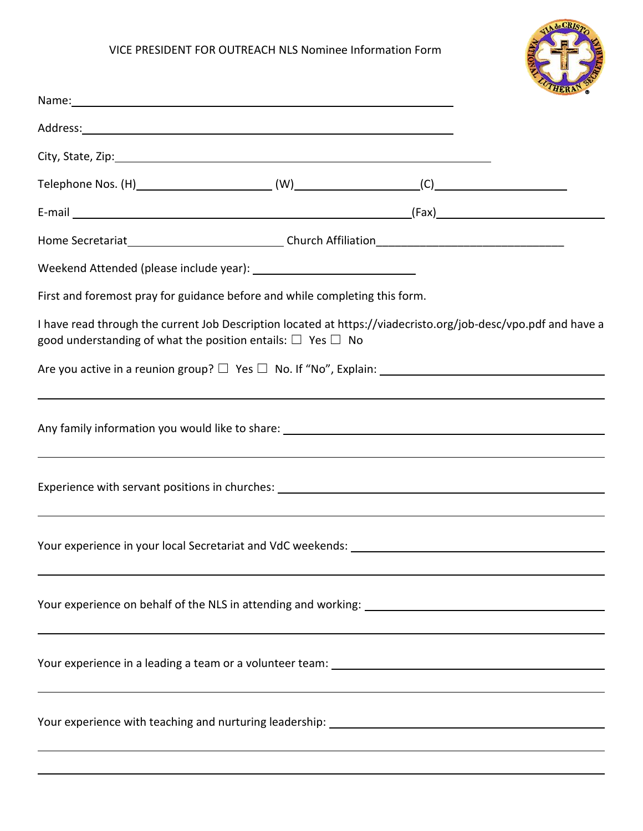## VICE PRESIDENT FOR OUTREACH NLS Nominee Information Form



| Name: Name and the second contract of the second contract of the second contract of the second contract of the second contract of the second contract of the second contract of the second contract of the second contract of |                                                                                                                |
|-------------------------------------------------------------------------------------------------------------------------------------------------------------------------------------------------------------------------------|----------------------------------------------------------------------------------------------------------------|
|                                                                                                                                                                                                                               |                                                                                                                |
|                                                                                                                                                                                                                               |                                                                                                                |
|                                                                                                                                                                                                                               |                                                                                                                |
|                                                                                                                                                                                                                               |                                                                                                                |
|                                                                                                                                                                                                                               |                                                                                                                |
|                                                                                                                                                                                                                               |                                                                                                                |
| First and foremost pray for guidance before and while completing this form.                                                                                                                                                   |                                                                                                                |
| good understanding of what the position entails: $\Box$ Yes $\Box$ No                                                                                                                                                         | I have read through the current Job Description located at https://viadecristo.org/job-desc/vpo.pdf and have a |
|                                                                                                                                                                                                                               |                                                                                                                |
|                                                                                                                                                                                                                               |                                                                                                                |
|                                                                                                                                                                                                                               |                                                                                                                |
|                                                                                                                                                                                                                               |                                                                                                                |
|                                                                                                                                                                                                                               | Experience with servant positions in churches: __________________________________                              |
|                                                                                                                                                                                                                               |                                                                                                                |
|                                                                                                                                                                                                                               |                                                                                                                |
|                                                                                                                                                                                                                               |                                                                                                                |
|                                                                                                                                                                                                                               |                                                                                                                |
|                                                                                                                                                                                                                               |                                                                                                                |
|                                                                                                                                                                                                                               |                                                                                                                |
|                                                                                                                                                                                                                               |                                                                                                                |
|                                                                                                                                                                                                                               |                                                                                                                |
|                                                                                                                                                                                                                               |                                                                                                                |